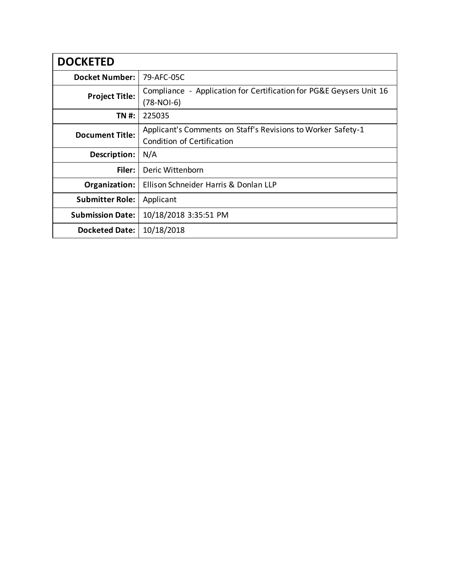| <b>DOCKETED</b>         |                                                                                            |
|-------------------------|--------------------------------------------------------------------------------------------|
| <b>Docket Number:</b>   | 79-AFC-05C                                                                                 |
| <b>Project Title:</b>   | Compliance - Application for Certification for PG&E Geysers Unit 16<br>$(78-NOI-6)$        |
| TN #:                   | 225035                                                                                     |
| <b>Document Title:</b>  | Applicant's Comments on Staff's Revisions to Worker Safety-1<br>Condition of Certification |
| Description:            | N/A                                                                                        |
| Filer:                  | Deric Wittenborn                                                                           |
| Organization:           | Ellison Schneider Harris & Donlan LLP                                                      |
| <b>Submitter Role:</b>  | Applicant                                                                                  |
| <b>Submission Date:</b> | 10/18/2018 3:35:51 PM                                                                      |
| <b>Docketed Date:</b>   | 10/18/2018                                                                                 |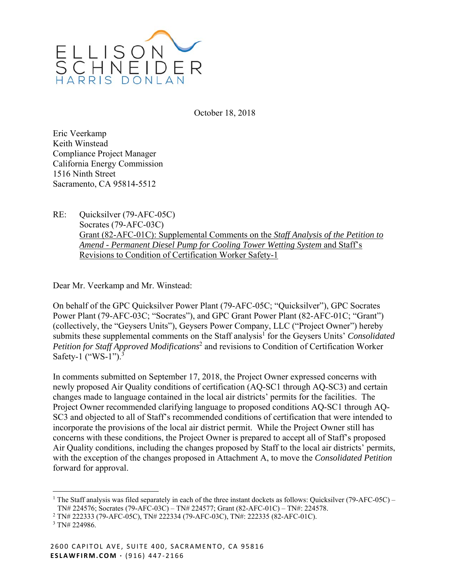

October 18, 2018

Eric Veerkamp Keith Winstead Compliance Project Manager California Energy Commission 1516 Ninth Street Sacramento, CA 95814-5512

RE: Quicksilver (79-AFC-05C) Socrates (79-AFC-03C) Grant (82-AFC-01C): Supplemental Comments on the *Staff Analysis of the Petition to Amend - Permanent Diesel Pump for Cooling Tower Wetting System* and Staff's Revisions to Condition of Certification Worker Safety-1

Dear Mr. Veerkamp and Mr. Winstead:

On behalf of the GPC Quicksilver Power Plant (79-AFC-05C; "Quicksilver"), GPC Socrates Power Plant (79-AFC-03C; "Socrates"), and GPC Grant Power Plant (82-AFC-01C; "Grant") (collectively, the "Geysers Units"), Geysers Power Company, LLC ("Project Owner") hereby submits these supplemental comments on the Staff analysis<sup>1</sup> for the Geysers Units' *Consolidated* Petition for Staff Approved Modifications<sup>2</sup> and revisions to Condition of Certification Worker Safety-1 ("WS-1").<sup>3</sup>

In comments submitted on September 17, 2018, the Project Owner expressed concerns with newly proposed Air Quality conditions of certification (AQ-SC1 through AQ-SC3) and certain changes made to language contained in the local air districts' permits for the facilities. The Project Owner recommended clarifying language to proposed conditions AQ-SC1 through AQ-SC3 and objected to all of Staff's recommended conditions of certification that were intended to incorporate the provisions of the local air district permit. While the Project Owner still has concerns with these conditions, the Project Owner is prepared to accept all of Staff's proposed Air Quality conditions, including the changes proposed by Staff to the local air districts' permits, with the exception of the changes proposed in Attachment A, to move the *Consolidated Petition*  forward for approval.

 $\overline{a}$ 

<sup>&</sup>lt;sup>1</sup> The Staff analysis was filed separately in each of the three instant dockets as follows: Quicksilver (79-AFC-05C) – TN# 224576; Socrates (79-AFC-03C) – TN# 224577; Grant (82-AFC-01C) – TN#: 224578. 2

TN# 222333 (79-AFC-05C), TN# 222334 (79-AFC-03C), TN#: 222335 (82-AFC-01C).

<sup>3</sup> TN# 224986.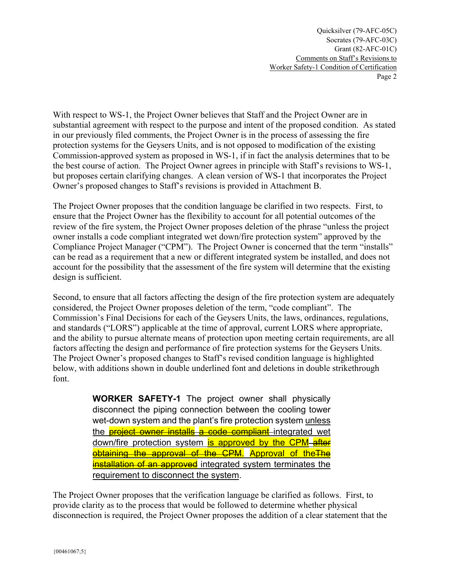Quicksilver (79-AFC-05C) Socrates (79-AFC-03C) Grant (82-AFC-01C) Comments on Staff's Revisions to Worker Safety-1 Condition of Certification Page 2

With respect to WS-1, the Project Owner believes that Staff and the Project Owner are in substantial agreement with respect to the purpose and intent of the proposed condition. As stated in our previously filed comments, the Project Owner is in the process of assessing the fire protection systems for the Geysers Units, and is not opposed to modification of the existing Commission-approved system as proposed in WS-1, if in fact the analysis determines that to be the best course of action. The Project Owner agrees in principle with Staff's revisions to WS-1, but proposes certain clarifying changes. A clean version of WS-1 that incorporates the Project Owner's proposed changes to Staff's revisions is provided in Attachment B.

The Project Owner proposes that the condition language be clarified in two respects. First, to ensure that the Project Owner has the flexibility to account for all potential outcomes of the review of the fire system, the Project Owner proposes deletion of the phrase "unless the project owner installs a code compliant integrated wet down/fire protection system" approved by the Compliance Project Manager ("CPM"). The Project Owner is concerned that the term "installs" can be read as a requirement that a new or different integrated system be installed, and does not account for the possibility that the assessment of the fire system will determine that the existing design is sufficient.

Second, to ensure that all factors affecting the design of the fire protection system are adequately considered, the Project Owner proposes deletion of the term, "code compliant". The Commission's Final Decisions for each of the Geysers Units, the laws, ordinances, regulations, and standards ("LORS") applicable at the time of approval, current LORS where appropriate, and the ability to pursue alternate means of protection upon meeting certain requirements, are all factors affecting the design and performance of fire protection systems for the Geysers Units. The Project Owner's proposed changes to Staff's revised condition language is highlighted below, with additions shown in double underlined font and deletions in double strikethrough font.

> **WORKER SAFETY-1** The project owner shall physically disconnect the piping connection between the cooling tower wet-down system and the plant's fire protection system unless the **project owner installs a code compliant** integrated wet down/fire protection system **is approved by the CPM** after obtaining the approval of the CPM. Approval of the The installation of an approved integrated system terminates the requirement to disconnect the system.

The Project Owner proposes that the verification language be clarified as follows. First, to provide clarity as to the process that would be followed to determine whether physical disconnection is required, the Project Owner proposes the addition of a clear statement that the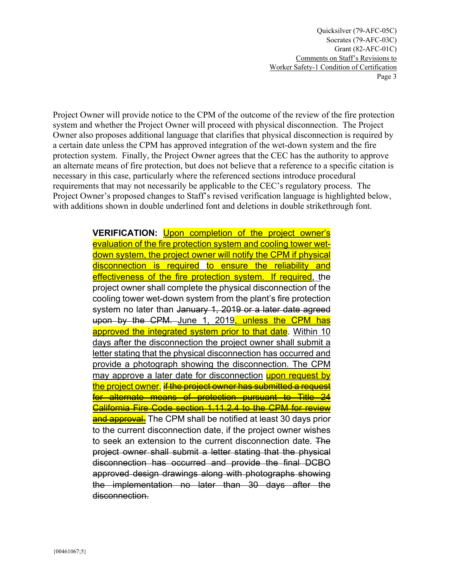Quicksilver (79-AFC-05C) Socrates (79-AFC-03C) Grant (82-AFC-01C) Comments on Staff's Revisions to Worker Safety-1 Condition of Certification Page 3

Project Owner will provide notice to the CPM of the outcome of the review of the fire protection system and whether the Project Owner will proceed with physical disconnection. The Project Owner also proposes additional language that clarifies that physical disconnection is required by a certain date unless the CPM has approved integration of the wet-down system and the fire protection system. Finally, the Project Owner agrees that the CEC has the authority to approve an alternate means of fire protection, but does not believe that a reference to a specific citation is necessary in this case, particularly where the referenced sections introduce procedural requirements that may not necessarily be applicable to the CEC's regulatory process. The Project Owner's proposed changes to Staff's revised verification language is highlighted below, with additions shown in double underlined font and deletions in double strikethrough font.

> **VERIFICATION:** Upon completion of the project owner's evaluation of the fire protection system and cooling tower wetdown system, the project owner will notify the CPM if physical disconnection is required to ensure the reliability and effectiveness of the fire protection system. If required, the project owner shall complete the physical disconnection of the cooling tower wet-down system from the plant's fire protection system no later than January 1, 2019 or a later date agreed upon by the CPM. June 1, 2019, unless the CPM has approved the integrated system prior to that date. Within 10 days after the disconnection the project owner shall submit a letter stating that the physical disconnection has occurred and provide a photograph showing the disconnection. The CPM may approve a later date for disconnection **upon request by** the project owner. I<del>f the project owner has submitted a request</del> for alternate means of protection pursuant to Title 24 California Fire Code section 1.11.2.4 to the CPM for review and approval. The CPM shall be notified at least 30 days prior to the current disconnection date, if the project owner wishes to seek an extension to the current disconnection date. The project owner shall submit a letter stating that the physical disconnection has occurred and provide the final DCBO approved design drawings along with photographs showing the implementation no later than 30 days after the disconnection.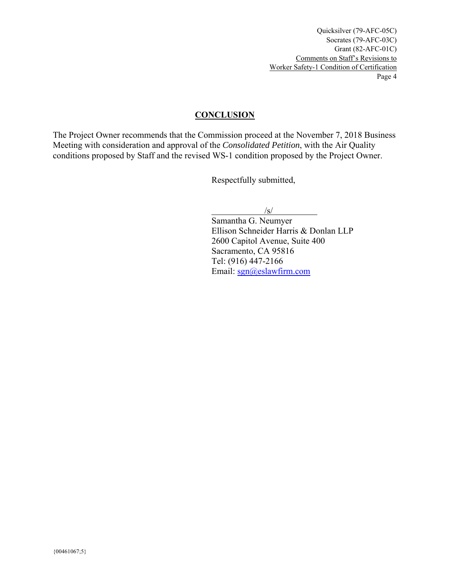### **CONCLUSION**

The Project Owner recommends that the Commission proceed at the November 7, 2018 Business Meeting with consideration and approval of the *Consolidated Petition*, with the Air Quality conditions proposed by Staff and the revised WS-1 condition proposed by the Project Owner.

Respectfully submitted,

/s/

Samantha G. Neumyer Ellison Schneider Harris & Donlan LLP 2600 Capitol Avenue, Suite 400 Sacramento, CA 95816 Tel: (916) 447-2166 Email: sgn@eslawfirm.com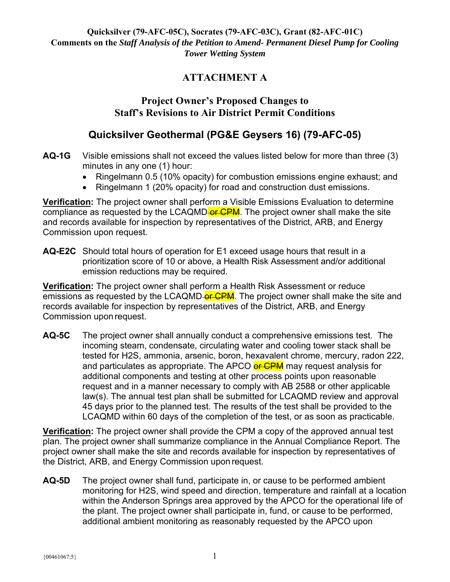# **ATTACHMENT A**

## **Project Owner's Proposed Changes to Staff's Revisions to Air District Permit Conditions**

## **Quicksilver Geothermal (PG&E Geysers 16) (79-AFC-05)**

- **AQ-1G** Visible emissions shall not exceed the values listed below for more than three (3) minutes in any one (1) hour:
	- Ringelmann 0.5 (10% opacity) for combustion emissions engine exhaust; and
	- Ringelmann 1 (20% opacity) for road and construction dust emissions.

**Verification:** The project owner shall perform a Visible Emissions Evaluation to determine compliance as requested by the LCAQMD-or CPM. The project owner shall make the site and records available for inspection by representatives of the District, ARB, and Energy Commission upon request.

**AQ-E2C** Should total hours of operation for E1 exceed usage hours that result in a prioritization score of 10 or above, a Health Risk Assessment and/or additional emission reductions may be required.

**Verification:** The project owner shall perform a Health Risk Assessment or reduce emissions as requested by the LCAQMD-or CPM. The project owner shall make the site and records available for inspection by representatives of the District, ARB, and Energy Commission upon request.

**AQ-5C** The project owner shall annually conduct a comprehensive emissions test. The incoming steam, condensate, circulating water and cooling tower stack shall be tested for H2S, ammonia, arsenic, boron, hexavalent chrome, mercury, radon 222, and particulates as appropriate. The APCO or CPM may request analysis for additional components and testing at other process points upon reasonable request and in a manner necessary to comply with AB 2588 or other applicable law(s). The annual test plan shall be submitted for LCAQMD review and approval 45 days prior to the planned test. The results of the test shall be provided to the LCAQMD within 60 days of the completion of the test, or as soon as practicable.

**Verification:** The project owner shall provide the CPM a copy of the approved annual test plan. The project owner shall summarize compliance in the Annual Compliance Report. The project owner shall make the site and records available for inspection by representatives of the District, ARB, and Energy Commission upon request.

**AQ-5D** The project owner shall fund, participate in, or cause to be performed ambient monitoring for H2S, wind speed and direction, temperature and rainfall at a location within the Anderson Springs area approved by the APCO for the operational life of the plant. The project owner shall participate in, fund, or cause to be performed, additional ambient monitoring as reasonably requested by the APCO upon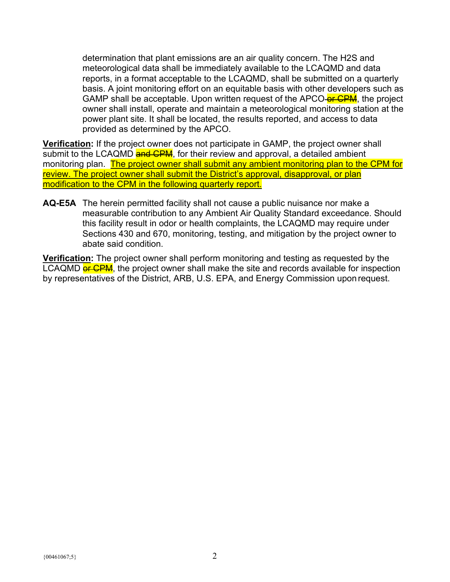determination that plant emissions are an air quality concern. The H2S and meteorological data shall be immediately available to the LCAQMD and data reports, in a format acceptable to the LCAQMD, shall be submitted on a quarterly basis. A joint monitoring effort on an equitable basis with other developers such as GAMP shall be acceptable. Upon written request of the APCO-or CPM, the project owner shall install, operate and maintain a meteorological monitoring station at the power plant site. It shall be located, the results reported, and access to data provided as determined by the APCO.

**Verification:** If the project owner does not participate in GAMP, the project owner shall submit to the LCAQMD and CPM, for their review and approval, a detailed ambient monitoring plan. The project owner shall submit any ambient monitoring plan to the CPM for review. The project owner shall submit the District's approval, disapproval, or plan modification to the CPM in the following quarterly report.

**AQ-E5A** The herein permitted facility shall not cause a public nuisance nor make a measurable contribution to any Ambient Air Quality Standard exceedance. Should this facility result in odor or health complaints, the LCAQMD may require under Sections 430 and 670, monitoring, testing, and mitigation by the project owner to abate said condition.

**Verification:** The project owner shall perform monitoring and testing as requested by the LCAQMD or CPM, the project owner shall make the site and records available for inspection by representatives of the District, ARB, U.S. EPA, and Energy Commission upon request.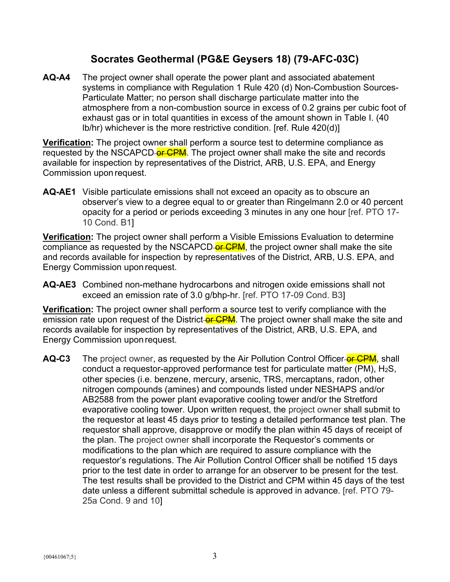## **Socrates Geothermal (PG&E Geysers 18) (79-AFC-03C)**

**AQ-A4** The project owner shall operate the power plant and associated abatement systems in compliance with Regulation 1 Rule 420 (d) Non-Combustion Sources-Particulate Matter; no person shall discharge particulate matter into the atmosphere from a non-combustion source in excess of 0.2 grains per cubic foot of exhaust gas or in total quantities in excess of the amount shown in Table I. (40 lb/hr) whichever is the more restrictive condition. [ref. Rule 420(d)]

**Verification:** The project owner shall perform a source test to determine compliance as requested by the NSCAPCD or CPM. The project owner shall make the site and records available for inspection by representatives of the District, ARB, U.S. EPA, and Energy Commission upon request.

**AQ-AE1** Visible particulate emissions shall not exceed an opacity as to obscure an observer's view to a degree equal to or greater than Ringelmann 2.0 or 40 percent opacity for a period or periods exceeding 3 minutes in any one hour [ref. PTO 17- 10 Cond. B1]

**Verification:** The project owner shall perform a Visible Emissions Evaluation to determine compliance as requested by the NSCAPCD-or CPM, the project owner shall make the site and records available for inspection by representatives of the District, ARB, U.S. EPA, and Energy Commission upon request.

**AQ-AE3** Combined non-methane hydrocarbons and nitrogen oxide emissions shall not exceed an emission rate of 3.0 g/bhp-hr. [ref. PTO 17-09 Cond. B3]

**Verification:** The project owner shall perform a source test to verify compliance with the emission rate upon request of the District-or CPM. The project owner shall make the site and records available for inspection by representatives of the District, ARB, U.S. EPA, and Energy Commission upon request.

**AQ-C3** The project owner, as requested by the Air Pollution Control Officer-or CPM, shall conduct a requestor-approved performance test for particulate matter (PM),  $H_2S$ , other species (i.e. benzene, mercury, arsenic, TRS, mercaptans, radon, other nitrogen compounds (amines) and compounds listed under NESHAPS and/or AB2588 from the power plant evaporative cooling tower and/or the Stretford evaporative cooling tower. Upon written request, the project owner shall submit to the requestor at least 45 days prior to testing a detailed performance test plan. The requestor shall approve, disapprove or modify the plan within 45 days of receipt of the plan. The project owner shall incorporate the Requestor's comments or modifications to the plan which are required to assure compliance with the requestor's regulations. The Air Pollution Control Officer shall be notified 15 days prior to the test date in order to arrange for an observer to be present for the test. The test results shall be provided to the District and CPM within 45 days of the test date unless a different submittal schedule is approved in advance. [ref. PTO 79- 25a Cond. 9 and 10]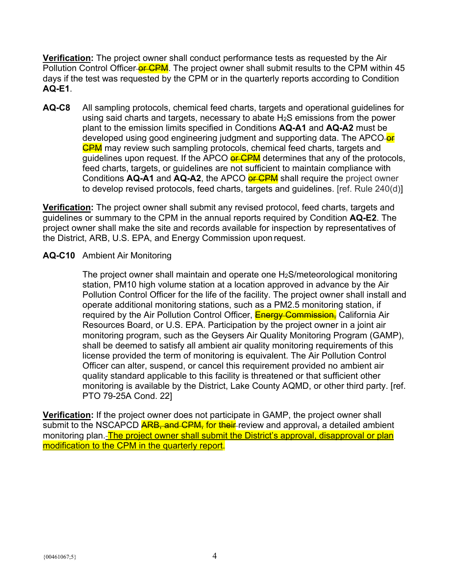**Verification:** The project owner shall conduct performance tests as requested by the Air Pollution Control Officer-or CPM. The project owner shall submit results to the CPM within 45 days if the test was requested by the CPM or in the quarterly reports according to Condition **AQ-E1**.

**AQ-C8** All sampling protocols, chemical feed charts, targets and operational guidelines for using said charts and targets, necessary to abate H2S emissions from the power plant to the emission limits specified in Conditions **AQ-A1** and **AQ-A2** must be developed using good engineering judgment and supporting data. The APCO-or **CPM** may review such sampling protocols, chemical feed charts, targets and guidelines upon request. If the APCO or CPM determines that any of the protocols, feed charts, targets, or guidelines are not sufficient to maintain compliance with Conditions **AQ-A1** and **AQ-A2**, the APCO **or CPM** shall require the project owner to develop revised protocols, feed charts, targets and guidelines. [ref. Rule 240(d)]

**Verification:** The project owner shall submit any revised protocol, feed charts, targets and guidelines or summary to the CPM in the annual reports required by Condition **AQ-E2**. The project owner shall make the site and records available for inspection by representatives of the District, ARB, U.S. EPA, and Energy Commission upon request.

#### **AQ-C10** Ambient Air Monitoring

The project owner shall maintain and operate one H2S/meteorological monitoring station, PM10 high volume station at a location approved in advance by the Air Pollution Control Officer for the life of the facility. The project owner shall install and operate additional monitoring stations, such as a PM2.5 monitoring station, if required by the Air Pollution Control Officer, **Energy Commission,** California Air Resources Board, or U.S. EPA. Participation by the project owner in a joint air monitoring program, such as the Geysers Air Quality Monitoring Program (GAMP), shall be deemed to satisfy all ambient air quality monitoring requirements of this license provided the term of monitoring is equivalent. The Air Pollution Control Officer can alter, suspend, or cancel this requirement provided no ambient air quality standard applicable to this facility is threatened or that sufficient other monitoring is available by the District, Lake County AQMD, or other third party. [ref. PTO 79-25A Cond. 22]

**Verification:** If the project owner does not participate in GAMP, the project owner shall submit to the NSCAPCD ARB, and CPM, for their review and approval, a detailed ambient monitoring plan. The project owner shall submit the District's approval, disapproval or plan modification to the CPM in the quarterly report.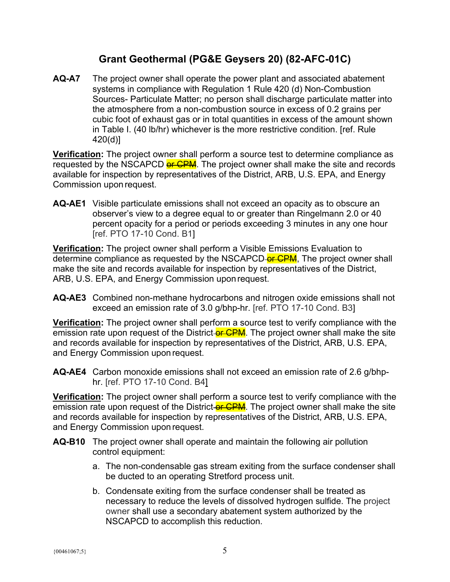# **Grant Geothermal (PG&E Geysers 20) (82-AFC-01C)**

**AQ-A7** The project owner shall operate the power plant and associated abatement systems in compliance with Regulation 1 Rule 420 (d) Non-Combustion Sources- Particulate Matter; no person shall discharge particulate matter into the atmosphere from a non-combustion source in excess of 0.2 grains per cubic foot of exhaust gas or in total quantities in excess of the amount shown in Table I. (40 lb/hr) whichever is the more restrictive condition. [ref. Rule 420(d)]

**Verification:** The project owner shall perform a source test to determine compliance as requested by the NSCAPCD **of CPM**. The project owner shall make the site and records available for inspection by representatives of the District, ARB, U.S. EPA, and Energy Commission upon request.

**AQ-AE1** Visible particulate emissions shall not exceed an opacity as to obscure an observer's view to a degree equal to or greater than Ringelmann 2.0 or 40 percent opacity for a period or periods exceeding 3 minutes in any one hour [ref. PTO 17-10 Cond. B1]

**Verification:** The project owner shall perform a Visible Emissions Evaluation to determine compliance as requested by the NSCAPCD-or CPM, The project owner shall make the site and records available for inspection by representatives of the District, ARB, U.S. EPA, and Energy Commission upon request.

**AQ-AE3** Combined non-methane hydrocarbons and nitrogen oxide emissions shall not exceed an emission rate of 3.0 g/bhp-hr. [ref. PTO 17-10 Cond. B3]

**Verification:** The project owner shall perform a source test to verify compliance with the emission rate upon request of the District-or CPM. The project owner shall make the site and records available for inspection by representatives of the District, ARB, U.S. EPA, and Energy Commission upon request.

**AQ-AE4** Carbon monoxide emissions shall not exceed an emission rate of 2.6 g/bhphr. [ref. PTO 17-10 Cond. B4]

**Verification:** The project owner shall perform a source test to verify compliance with the emission rate upon request of the District-or CPM. The project owner shall make the site and records available for inspection by representatives of the District, ARB, U.S. EPA, and Energy Commission upon request.

- **AQ-B10** The project owner shall operate and maintain the following air pollution control equipment:
	- a. The non-condensable gas stream exiting from the surface condenser shall be ducted to an operating Stretford process unit.
	- b. Condensate exiting from the surface condenser shall be treated as necessary to reduce the levels of dissolved hydrogen sulfide. The project owner shall use a secondary abatement system authorized by the NSCAPCD to accomplish this reduction.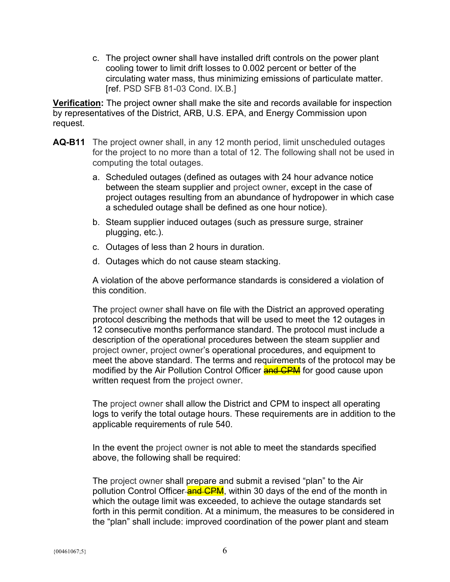c. The project owner shall have installed drift controls on the power plant cooling tower to limit drift losses to 0.002 percent or better of the circulating water mass, thus minimizing emissions of particulate matter. [ref. PSD SFB 81-03 Cond. IX.B.]

**Verification:** The project owner shall make the site and records available for inspection by representatives of the District, ARB, U.S. EPA, and Energy Commission upon request.

- **AQ-B11** The project owner shall, in any 12 month period, limit unscheduled outages for the project to no more than a total of 12. The following shall not be used in computing the total outages.
	- a. Scheduled outages (defined as outages with 24 hour advance notice between the steam supplier and project owner, except in the case of project outages resulting from an abundance of hydropower in which case a scheduled outage shall be defined as one hour notice).
	- b. Steam supplier induced outages (such as pressure surge, strainer plugging, etc.).
	- c. Outages of less than 2 hours in duration.
	- d. Outages which do not cause steam stacking.

A violation of the above performance standards is considered a violation of this condition.

The project owner shall have on file with the District an approved operating protocol describing the methods that will be used to meet the 12 outages in 12 consecutive months performance standard. The protocol must include a description of the operational procedures between the steam supplier and project owner, project owner's operational procedures, and equipment to meet the above standard. The terms and requirements of the protocol may be modified by the Air Pollution Control Officer **and CPM** for good cause upon written request from the project owner.

The project owner shall allow the District and CPM to inspect all operating logs to verify the total outage hours. These requirements are in addition to the applicable requirements of rule 540.

In the event the project owner is not able to meet the standards specified above, the following shall be required:

The project owner shall prepare and submit a revised "plan" to the Air pollution Control Officer-and CPM, within 30 days of the end of the month in which the outage limit was exceeded, to achieve the outage standards set forth in this permit condition. At a minimum, the measures to be considered in the "plan" shall include: improved coordination of the power plant and steam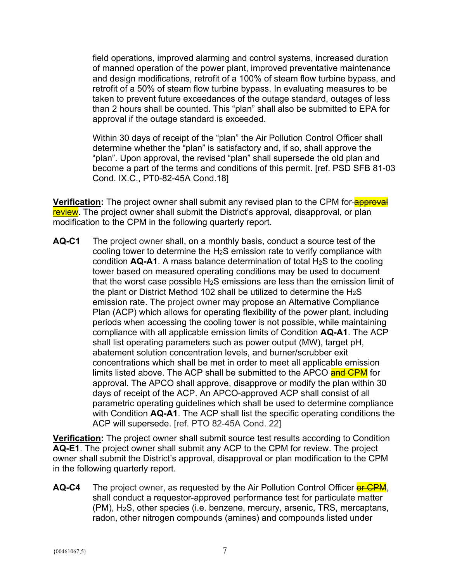field operations, improved alarming and control systems, increased duration of manned operation of the power plant, improved preventative maintenance and design modifications, retrofit of a 100% of steam flow turbine bypass, and retrofit of a 50% of steam flow turbine bypass. In evaluating measures to be taken to prevent future exceedances of the outage standard, outages of less than 2 hours shall be counted. This "plan" shall also be submitted to EPA for approval if the outage standard is exceeded.

Within 30 days of receipt of the "plan" the Air Pollution Control Officer shall determine whether the "plan" is satisfactory and, if so, shall approve the "plan". Upon approval, the revised "plan" shall supersede the old plan and become a part of the terms and conditions of this permit. [ref. PSD SFB 81-03 Cond. IX.C., PT0-82-45A Cond.18]

**Verification:** The project owner shall submit any revised plan to the CPM for-**approval** review. The project owner shall submit the District's approval, disapproval, or plan modification to the CPM in the following quarterly report.

**AQ-C1** The project owner shall, on a monthly basis, conduct a source test of the cooling tower to determine the H2S emission rate to verify compliance with condition **AQ-A1**. A mass balance determination of total H2S to the cooling tower based on measured operating conditions may be used to document that the worst case possible  $H_2S$  emissions are less than the emission limit of the plant or District Method 102 shall be utilized to determine the  $H_2S$ emission rate. The project owner may propose an Alternative Compliance Plan (ACP) which allows for operating flexibility of the power plant, including periods when accessing the cooling tower is not possible, while maintaining compliance with all applicable emission limits of Condition **AQ-A1**. The ACP shall list operating parameters such as power output (MW), target pH, abatement solution concentration levels, and burner/scrubber exit concentrations which shall be met in order to meet all applicable emission limits listed above. The ACP shall be submitted to the APCO and CPM for approval. The APCO shall approve, disapprove or modify the plan within 30 days of receipt of the ACP. An APCO-approved ACP shall consist of all parametric operating guidelines which shall be used to determine compliance with Condition **AQ-A1**. The ACP shall list the specific operating conditions the ACP will supersede. [ref. PTO 82-45A Cond. 22]

**Verification:** The project owner shall submit source test results according to Condition **AQ-E1**. The project owner shall submit any ACP to the CPM for review. The project owner shall submit the District's approval, disapproval or plan modification to the CPM in the following quarterly report.

**AQ-C4** The project owner, as requested by the Air Pollution Control Officer or CPM, shall conduct a requestor-approved performance test for particulate matter (PM), H2S, other species (i.e. benzene, mercury, arsenic, TRS, mercaptans, radon, other nitrogen compounds (amines) and compounds listed under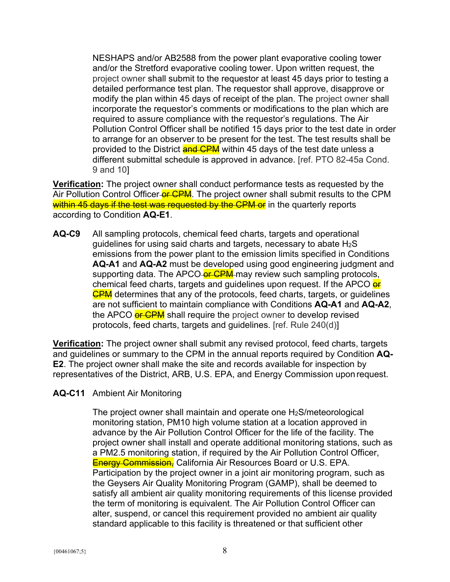NESHAPS and/or AB2588 from the power plant evaporative cooling tower and/or the Stretford evaporative cooling tower. Upon written request, the project owner shall submit to the requestor at least 45 days prior to testing a detailed performance test plan. The requestor shall approve, disapprove or modify the plan within 45 days of receipt of the plan. The project owner shall incorporate the requestor's comments or modifications to the plan which are required to assure compliance with the requestor's regulations. The Air Pollution Control Officer shall be notified 15 days prior to the test date in order to arrange for an observer to be present for the test. The test results shall be provided to the District and CPM within 45 days of the test date unless a different submittal schedule is approved in advance. [ref. PTO 82-45a Cond. 9 and 10]

**Verification:** The project owner shall conduct performance tests as requested by the Air Pollution Control Officer-or-CPM. The project owner shall submit results to the CPM within 45 days if the test was requested by the CPM or in the quarterly reports according to Condition **AQ-E1**.

**AQ-C9** All sampling protocols, chemical feed charts, targets and operational guidelines for using said charts and targets, necessary to abate  $H_2S$ emissions from the power plant to the emission limits specified in Conditions **AQ-A1** and **AQ-A2** must be developed using good engineering judgment and supporting data. The APCO-or CPM may review such sampling protocols, chemical feed charts, targets and guidelines upon request. If the APCO or **CPM** determines that any of the protocols, feed charts, targets, or guidelines are not sufficient to maintain compliance with Conditions **AQ-A1** and **AQ-A2**, the APCO or CPM shall require the project owner to develop revised protocols, feed charts, targets and guidelines. [ref. Rule 240(d)]

**Verification:** The project owner shall submit any revised protocol, feed charts, targets and guidelines or summary to the CPM in the annual reports required by Condition **AQ-E2**. The project owner shall make the site and records available for inspection by representatives of the District, ARB, U.S. EPA, and Energy Commission upon request.

#### **AQ-C11** Ambient Air Monitoring

The project owner shall maintain and operate one H2S/meteorological monitoring station, PM10 high volume station at a location approved in advance by the Air Pollution Control Officer for the life of the facility. The project owner shall install and operate additional monitoring stations, such as a PM2.5 monitoring station, if required by the Air Pollution Control Officer, Energy Commission, California Air Resources Board or U.S. EPA. Participation by the project owner in a joint air monitoring program, such as the Geysers Air Quality Monitoring Program (GAMP), shall be deemed to satisfy all ambient air quality monitoring requirements of this license provided the term of monitoring is equivalent. The Air Pollution Control Officer can alter, suspend, or cancel this requirement provided no ambient air quality standard applicable to this facility is threatened or that sufficient other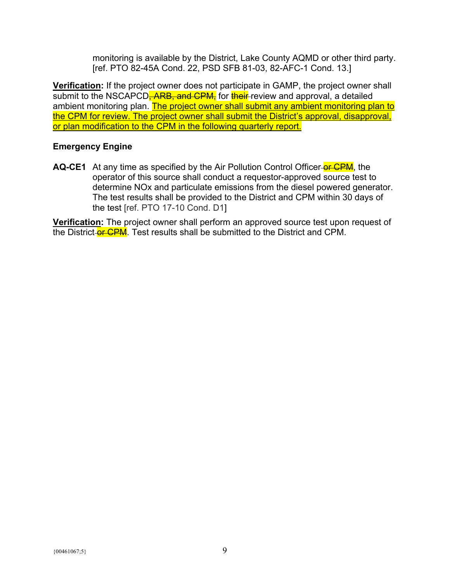monitoring is available by the District, Lake County AQMD or other third party. [ref. PTO 82-45A Cond. 22, PSD SFB 81-03, 82-AFC-1 Cond. 13.]

**Verification:** If the project owner does not participate in GAMP, the project owner shall submit to the NSCAPCD<del>, ARB, and CPM,</del> for their review and approval, a detailed ambient monitoring plan. The project owner shall submit any ambient monitoring plan to the CPM for review. The project owner shall submit the District's approval, disapproval, or plan modification to the CPM in the following quarterly report.

#### **Emergency Engine**

**AQ-CE1** At any time as specified by the Air Pollution Control Officer-or CPM, the operator of this source shall conduct a requestor-approved source test to determine NOx and particulate emissions from the diesel powered generator. The test results shall be provided to the District and CPM within 30 days of the test [ref. PTO 17-10 Cond. D1]

**Verification:** The project owner shall perform an approved source test upon request of the District-or CPM. Test results shall be submitted to the District and CPM.